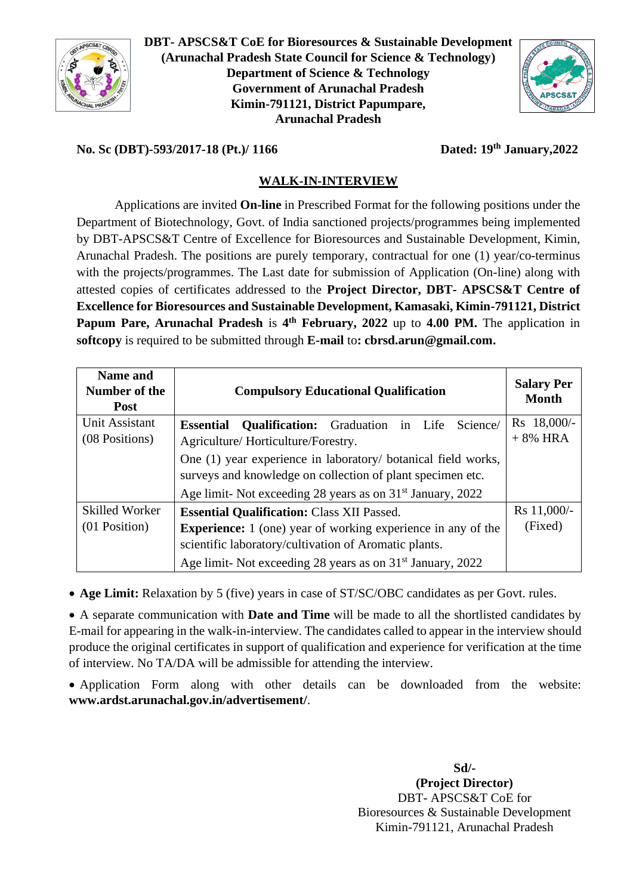

**DBT- APSCS&T CoE for Bioresources & Sustainable Development (Arunachal Pradesh State Council for Science & Technology) Department of Science & Technology Government of Arunachal Pradesh Kimin-791121, District Papumpare, Arunachal Pradesh**



## **No. Sc (DBT)-593/2017-18 (Pt.)/ 1166**

**th January,2022**

## **WALK-IN-INTERVIEW**

Applications are invited **On-line** in Prescribed Format for the following positions under the Department of Biotechnology, Govt. of India sanctioned projects/programmes being implemented by DBT-APSCS&T Centre of Excellence for Bioresources and Sustainable Development, Kimin, Arunachal Pradesh. The positions are purely temporary, contractual for one (1) year/co-terminus with the projects/programmes. The Last date for submission of Application (On-line) along with attested copies of certificates addressed to the **Project Director, DBT- APSCS&T Centre of Excellence for Bioresources and Sustainable Development, Kamasaki, Kimin-791121, District Papum Pare, Arunachal Pradesh** is **4 th February, 2022** up to **4.00 PM.** The application in **softcopy** is required to be submitted through **E-mail** to**: [cbrsd.arun@gmail.com.](mailto:cbrsd.arun@gmail.com)**

| <b>Name and</b><br>Number of the<br><b>Post</b> | <b>Compulsory Educational Qualification</b>                              | <b>Salary Per</b><br><b>Month</b> |  |  |  |  |
|-------------------------------------------------|--------------------------------------------------------------------------|-----------------------------------|--|--|--|--|
| Unit Assistant                                  | <b>Qualification:</b> Graduation in Life<br>Science/<br><b>Essential</b> | Rs 18,000/-                       |  |  |  |  |
| (08 Positions)                                  | Agriculture/Horticulture/Forestry.                                       | $+8\%$ HRA                        |  |  |  |  |
|                                                 | One (1) year experience in laboratory/ botanical field works,            |                                   |  |  |  |  |
|                                                 | surveys and knowledge on collection of plant specimen etc.               |                                   |  |  |  |  |
|                                                 | Age limit- Not exceeding 28 years as on 31 <sup>st</sup> January, 2022   |                                   |  |  |  |  |
| <b>Skilled Worker</b>                           | <b>Essential Qualification: Class XII Passed.</b>                        | Rs 11,000/-                       |  |  |  |  |
| $(01$ Position)                                 | <b>Experience:</b> 1 (one) year of working experience in any of the      | (Fixed)                           |  |  |  |  |
|                                                 | scientific laboratory/cultivation of Aromatic plants.                    |                                   |  |  |  |  |
|                                                 | Age limit- Not exceeding 28 years as on 31 <sup>st</sup> January, 2022   |                                   |  |  |  |  |

• **Age Limit:** Relaxation by 5 (five) years in case of ST/SC/OBC candidates as per Govt. rules.

• A separate communication with **Date and Time** will be made to all the shortlisted candidates by E-mail for appearing in the walk-in-interview. The candidates called to appear in the interview should produce the original certificates in support of qualification and experience for verification at the time of interview. No TA/DA will be admissible for attending the interview.

• Application Form along with other details can be downloaded from the website: **www.ardst.arunachal.gov.in/advertisement/**.

> **Sd/- (Project Director)** DBT- APSCS&T CoE for Bioresources & Sustainable Development Kimin-791121, Arunachal Pradesh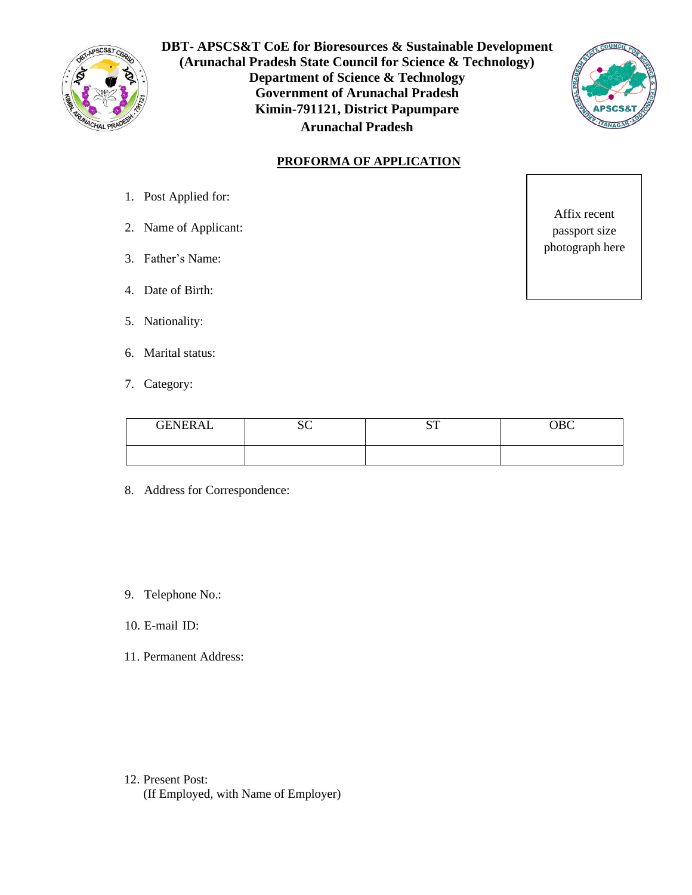

**DBT- APSCS&T CoE for Bioresources & Sustainable Development (Arunachal Pradesh State Council for Science & Technology) Department of Science & Technology Government of Arunachal Pradesh Kimin-791121, District Papumpare Arunachal Pradesh**



## **PROFORMA OF APPLICATION**

- 1. Post Applied for:
- 2. Name of Applicant:
- 3. Father's Name:
- 4. Date of Birth:
- 5. Nationality:
- 6. Marital status:
- 7. Category:

Affix recent passport size photograph here

| <b>GENERAL</b> | $\sim$                 | $\alpha$ T | $\cap$ $\cap$ |
|----------------|------------------------|------------|---------------|
|                | $\mathsf{v}\mathsf{v}$ | ິ          | vvv           |
|                |                        |            |               |

- 8. Address for Correspondence:
- 9. Telephone No.:
- 10. E-mail ID:
- 11. Permanent Address:

12. Present Post: (If Employed, with Name of Employer)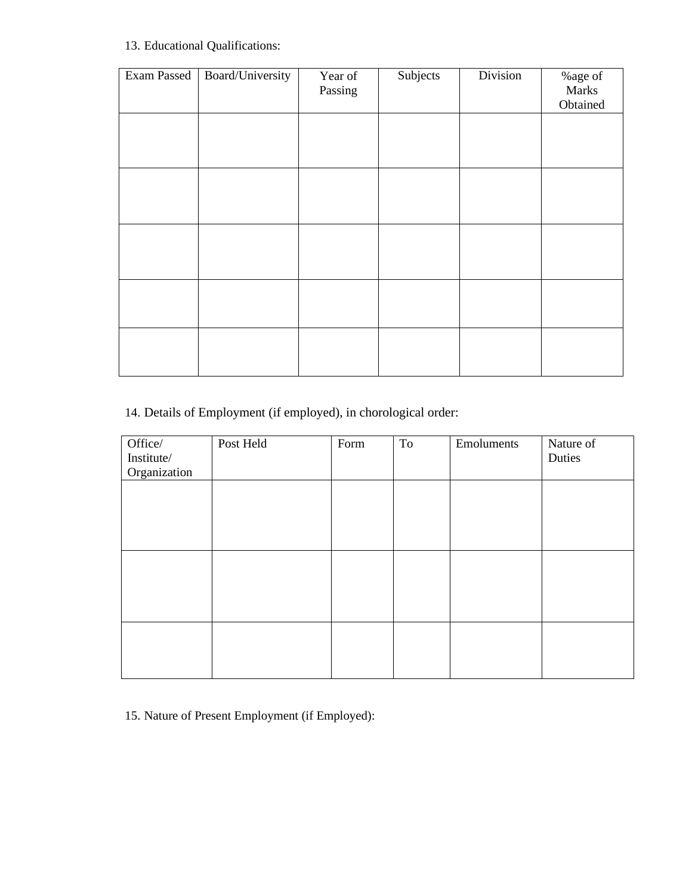## 13. Educational Qualifications:

| Exam Passed | Board/University | Year of<br>Passing | Subjects | Division | $\%$ age of<br>Marks<br>Obtained |
|-------------|------------------|--------------------|----------|----------|----------------------------------|
|             |                  |                    |          |          |                                  |
|             |                  |                    |          |          |                                  |
|             |                  |                    |          |          |                                  |
|             |                  |                    |          |          |                                  |
|             |                  |                    |          |          |                                  |
|             |                  |                    |          |          |                                  |

14. Details of Employment (if employed), in chorological order:

| Office/      | Post Held | Form | To | Emoluments | Nature of |
|--------------|-----------|------|----|------------|-----------|
| Institute/   |           |      |    |            | Duties    |
| Organization |           |      |    |            |           |
|              |           |      |    |            |           |
|              |           |      |    |            |           |
|              |           |      |    |            |           |
|              |           |      |    |            |           |
|              |           |      |    |            |           |
|              |           |      |    |            |           |
|              |           |      |    |            |           |
|              |           |      |    |            |           |
|              |           |      |    |            |           |
|              |           |      |    |            |           |
|              |           |      |    |            |           |
|              |           |      |    |            |           |
|              |           |      |    |            |           |
|              |           |      |    |            |           |

15. Nature of Present Employment (if Employed):